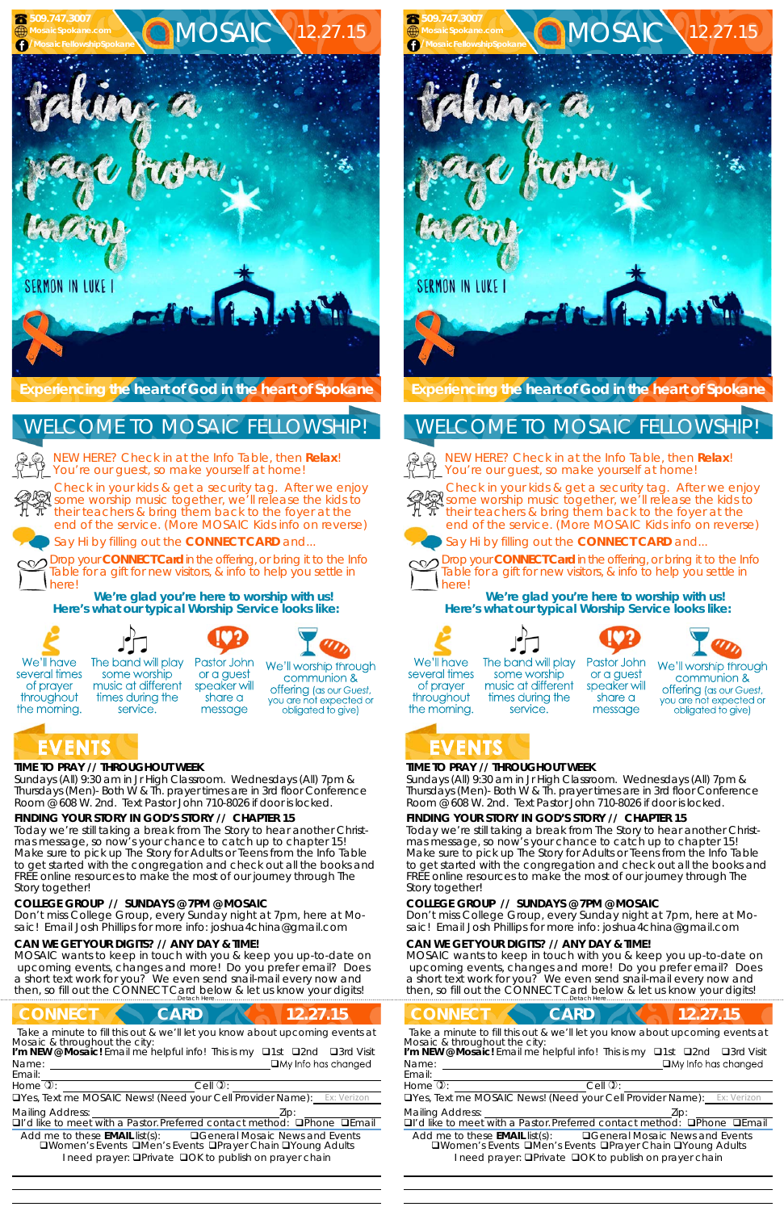### **TIME TO PRAY // THROUGHOUT WEEK**

*Sundays* (All) 9:30 am in Jr High Classroom. *Wednesdays* (All) 7pm & *Thursdays* (Men)- Both W & Th. prayer times are in 3rd floor Conference Room @ 608 W. 2nd. Text Pastor John 710-8026 if door is locked.

## **FINDING YOUR STORY IN GOD'S STORY // CHAPTER 15**

MOSAIC wants to keep in touch with you & keep you up-to-date on upcoming events, changes and more! Do you prefer email? Does a short text work for you? We even send snail-mail every now and then, so fill out the CONNECT Card below & let us know your digits!

## **CONNECT CARD 12.27.15**

Today we're still taking a break from The Story to hear another Christmas message, so now's your chance to catch up to chapter 15! Make sure to pick up The Story for Adults or Teens from the Info Table to get started with the congregation and check out all the books and FREE online resources to make the most of our journey through The Story together!

#### **COLLEGE GROUP // SUNDAYS @ 7PM @ MOSAIC**

Don't miss College Group, every Sunday night at 7pm, here at Mosaic! Email Josh Phillips for more info: joshua4china@gmail.com

#### **CAN WE GET YOUR DIGITS? // ANY DAY & TIME!**

Name: **I'm NEW @ Mosaic!** Email me helpful info! This is my **Q1st Q2nd Q3rd Visit** 



**Here's what our typical Worship Service looks like:** 



several times

of prayer

throughout

the morning.





or a guest

share a

message

Pastor John The band will play some worship music at different speaker will times during the service.

We'll worship through communion & **offering** (as our Guest, you are not expected or obligated to give)

# EVENTS

NEW HERE? Check in at the Info Table, then **Relax**! You're our guest, so make yourself at home!

Email:

Yes, Text me MOSAIC News! (Need your Cell Provider Name): Ex: Verizon

Mailing Address: **Mailing Address: 2ip:** 

 $\Box$ I'd like to meet with a Pastor. Preferred contact method:  $\Box$ Phone  $\Box$ Email

Add me to these **EMAIL** list(s): General Mosaic News and Events **QWomen's Events QMen's Events QPrayer Chain QYoung Adults** I need prayer: **OPrivate OOK to publish on prayer chain** 

*Take a minute to fill this out & we'll let you know about upcoming events at Mosaic & throughout the city:* 

 

 $H$ ome  $\mathbb{D}$ :  $\qquad \qquad$  Cell  $\mathbb{D}$ :

### **TIME TO PRAY // THROUGHOUT WEEK**

*Sundays* (All) 9:30 am in Jr High Classroom. *Wednesdays* (All) 7pm & *Thursdays* (Men)- Both W & Th. prayer times are in 3rd floor Conference Room @ 608 W. 2nd. Text Pastor John 710-8026 if door is locked.

### **FINDING YOUR STORY IN GOD'S STORY // CHAPTER 15**

Today we're still taking a break from The Story to hear another Christmas message, so now's your chance to catch up to chapter 15! Make sure to pick up The Story for Adults or Teens from the Info Table to get started with the congregation and check out all the books and FREE online resources to make the most of our journey through The Story together!

#### **COLLEGE GROUP // SUNDAYS @ 7PM @ MOSAIC**

Don't miss College Group, every Sunday night at 7pm, here at Mosaic! Email Josh Phillips for more info: joshua4china@gmail.com

#### **CAN WE GET YOUR DIGITS? // ANY DAY & TIME!**

MOSAIC wants to keep in touch with you & keep you up-to-date on upcoming events, changes and more! Do you prefer email? Does a short text work for you? We even send snail-mail every now and then, so fill out the CONNECT Card below & let us know your digits! ……………………….……………………………………………………….Detach Here……………………………………………..…………………………………

**CONNECT CARD 12.27.15** *Take a minute to fill this out & we'll let you know about upcoming events at* Name: Email: Home  $\mathbb{D}$ :  $\qquad \qquad$  Cell  $\mathbb{D}$ : UYes, Text me MOSAIC News! (Need your Cell Provider Name): Mailing Address:  **Zip:** Zip: 2014  $\Box$ I'd like to meet with a Pastor. Preferred contact method:  $\Box$ Phone  $\Box$ Email Add me to these **EMAIL** list(s): General Mosaic News and Events **QWomen's Events QMen's Events QPrayer Chain QYoung Adults** *Mosaic & throughout the city:*  **I'm NEW @ Mosaic!** Email me helpful info! This is my **Q1st Q2nd Q3rd Visit** 

I need prayer: **QPrivate QOK to publish on prayer chain** 



Check in your kids & get a security tag. After we enjoy salf some worship music together, we'll release the kids to their teachers & bring them back to the foyer at the end of the service. (More MOSAIC Kids info on reverse)

Say Hi by filling out the **CONNECT CARD** and...

Drop your **CONNECT Card** in the offering, or bring it to the Info Table for a gift for new visitors, & info to help you settle in

**We're glad you're here to worship with us! Here's what our typical Worship Service looks like:** 









We'll have several times of prayer throughout the morning.

## WELCOME TO MOSAIC FELLOWSHIP!

  The band will play some worship music at different times during the service.

Pastor John or a guest speaker will share a message

We'll worship through communion & **offering** (as our Guest, you are not expected or obligated to give)

## EVENTS